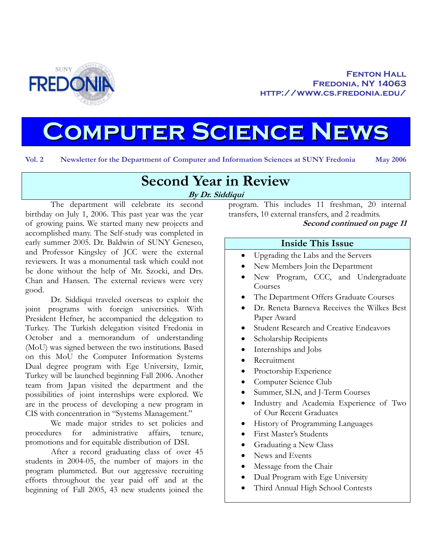

# **Computer Science News**

**Vol. 2 Newsletter for the Department of Computer and Information Sciences at SUNY Fredonia May 2006**

# **Second Year in Review By Dr. Siddiqui**

The department will celebrate its second birthday on July 1, 2006. This past year was the year of growing pains. We started many new projects and accomplished many. The Self-study was completed in early summer 2005. Dr. Baldwin of SUNY Geneseo, and Professor Kingsley of JCC were the external reviewers. It was a monumental task which could not be done without the help of Mr. Szocki, and Drs. Chan and Hansen. The external reviews were very good.

Dr. Siddiqui traveled overseas to exploit the joint programs with foreign universities. With President Hefner, he accompanied the delegation to Turkey. The Turkish delegation visited Fredonia in October and a memorandum of understanding (MoU) was signed between the two institutions. Based on this MoU the Computer Information Systems Dual degree program with Ege University, Izmir, Turkey will be launched beginning Fall 2006. Another team from Japan visited the department and the possibilities of joint internships were explored. We are in the process of developing a new program in CIS with concentration in "Systems Management."

We made major strides to set policies and procedures for administrative affairs, tenure, promotions and for equitable distribution of DSI.

After a record graduating class of over 45 students in 2004-05, the number of majors in the program plummeted. But our aggressive recruiting efforts throughout the year paid off and at the beginning of Fall 2005, 43 new students joined the

program. This includes 11 freshman, 20 internal transfers, 10 external transfers, and 2 readmits.

#### **Second continued on page 11**

#### **Inside This Issue**

- Upgrading the Labs and the Servers
- New Members Join the Department
- New Program, CCC, and Undergraduate Courses
- The Department Offers Graduate Courses
- Dr. Reneta Barneva Receives the Wilkes Best Paper Award
- Student Research and Creative Endeavors
- Scholarship Recipients
- Internships and Jobs
- Recruitment
- Proctorship Experience
- Computer Science Club
- Summer, SLN, and J-Term Courses
- Industry and Academia Experience of Two of Our Recent Graduates
- History of Programming Languages
- First Master's Students
- Graduating a New Class
- News and Events
- Message from the Chair
- Dual Program with Ege University
- Third Annual High School Contests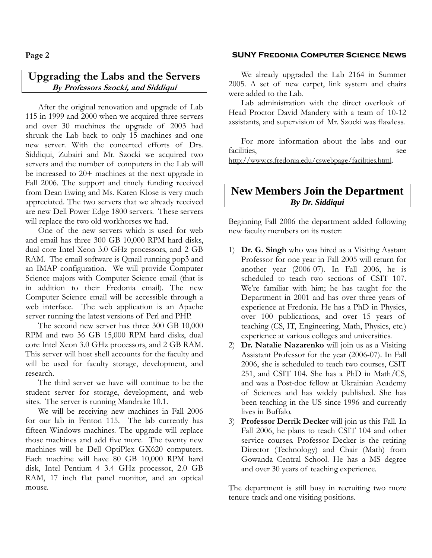#### **Upgrading the Labs and the Servers By Professors Szocki, and Siddiqui**

After the original renovation and upgrade of Lab 115 in 1999 and 2000 when we acquired three servers and over 30 machines the upgrade of 2003 had shrunk the Lab back to only 15 machines and one new server. With the concerted efforts of Drs. Siddiqui, Zubairi and Mr. Szocki we acquired two servers and the number of computers in the Lab will be increased to 20+ machines at the next upgrade in Fall 2006. The support and timely funding received from Dean Ewing and Ms. Karen Klose is very much appreciated. The two servers that we already received are new Dell Power Edge 1800 servers. These servers will replace the two old workhorses we had.

One of the new servers which is used for web and email has three 300 GB 10,000 RPM hard disks, dual core Intel Xeon 3.0 GHz processors, and 2 GB RAM. The email software is Qmail running pop3 and an IMAP configuration. We will provide Computer Science majors with Computer Science email (that is in addition to their Fredonia email). The new Computer Science email will be accessible through a web interface. The web application is an Apache server running the latest versions of Perl and PHP.

The second new server has three 300 GB 10,000 RPM and two 36 GB 15,000 RPM hard disks, dual core Intel Xeon 3.0 GHz processors, and 2 GB RAM. This server will host shell accounts for the faculty and will be used for faculty storage, development, and research.

The third server we have will continue to be the student server for storage, development, and web sites. The server is running Mandrake 10.1.

We will be receiving new machines in Fall 2006 for our lab in Fenton 115. The lab currently has fifteen Windows machines. The upgrade will replace those machines and add five more. The twenty new machines will be Dell OptiPlex GX620 computers. Each machine will have 80 GB 10,000 RPM hard disk, Intel Pentium 4 3.4 GHz processor, 2.0 GB RAM, 17 inch flat panel monitor, and an optical mouse.

#### **Page 2 SUNY Fredonia Computer Science News**

We already upgraded the Lab 2164 in Summer 2005. A set of new carpet, link system and chairs were added to the Lab.

Lab administration with the direct overlook of Head Proctor David Mandery with a team of 10-12 assistants, and supervision of Mr. Szocki was flawless.

For more information about the labs and our facilities, see http://www.cs.fredonia.edu/cswebpage/facilities.html.

#### **New Members Join the Department**  *By Dr. Siddiqui*

Beginning Fall 2006 the department added following new faculty members on its roster:

- 1) **Dr. G. Singh** who was hired as a Visiting Asstant Professor for one year in Fall 2005 will return for another year (2006-07). In Fall 2006, he is scheduled to teach two sections of CSIT 107. We're familiar with him; he has taught for the Department in 2001 and has over three years of experience at Fredonia. He has a PhD in Physics, over 100 publications, and over 15 years of teaching (CS, IT, Engineering, Math, Physics, etc.) experience at various colleges and universities.
- 2) **Dr. Natalie Nazarenko** will join us as a Visiting Assistant Professor for the year (2006-07). In Fall 2006, she is scheduled to teach two courses, CSIT 251, and CSIT 104. She has a PhD in Math/CS, and was a Post-doc fellow at Ukrainian Academy of Sciences and has widely published. She has been teaching in the US since 1996 and currently lives in Buffalo.
- 3) **Professor Derrik Decker** will join us this Fall. In Fall 2006, he plans to teach CSIT 104 and other service courses. Professor Decker is the retiring Director (Technology) and Chair (Math) from Gowanda Central School. He has a MS degree and over 30 years of teaching experience.

The department is still busy in recruiting two more tenure-track and one visiting positions.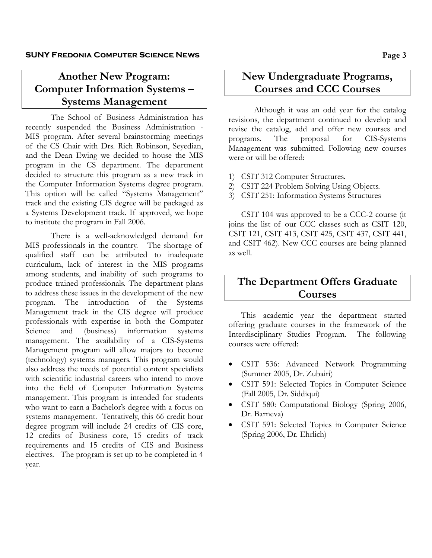# **Another New Program: Computer Information Systems – Systems Management**

The School of Business Administration has recently suspended the Business Administration - MIS program. After several brainstorming meetings of the CS Chair with Drs. Rich Robinson, Seyedian, and the Dean Ewing we decided to house the MIS program in the CS department. The department decided to structure this program as a new track in the Computer Information Systems degree program. This option will be called "Systems Management" track and the existing CIS degree will be packaged as a Systems Development track. If approved, we hope to institute the program in Fall 2006.

There is a well-acknowledged demand for MIS professionals in the country. The shortage of qualified staff can be attributed to inadequate curriculum, lack of interest in the MIS programs among students, and inability of such programs to produce trained professionals. The department plans to address these issues in the development of the new program. The introduction of the Systems Management track in the CIS degree will produce professionals with expertise in both the Computer Science and (business) information systems management. The availability of a CIS-Systems Management program will allow majors to become (technology) systems managers. This program would also address the needs of potential content specialists with scientific industrial careers who intend to move into the field of Computer Information Systems management. This program is intended for students who want to earn a Bachelor's degree with a focus on systems management. Tentatively, this 66 credit hour degree program will include 24 credits of CIS core, 12 credits of Business core, 15 credits of track requirements and 15 credits of CIS and Business electives. The program is set up to be completed in 4 year.

# **New Undergraduate Programs, Courses and CCC Courses**

Although it was an odd year for the catalog revisions, the department continued to develop and revise the catalog, add and offer new courses and programs. The proposal for CIS-Systems Management was submitted. Following new courses were or will be offered:

- 1) CSIT 312 Computer Structures.
- 2) CSIT 224 Problem Solving Using Objects.
- 3) CSIT 251: Information Systems Structures

CSIT 104 was approved to be a CCC-2 course (it joins the list of our CCC classes such as CSIT 120, CSIT 121, CSIT 413, CSIT 425, CSIT 437, CSIT 441, and CSIT 462). New CCC courses are being planned as well.

# **The Department Offers Graduate Courses**

This academic year the department started offering graduate courses in the framework of the Interdisciplinary Studies Program. The following courses were offered:

- CSIT 536: Advanced Network Programming (Summer 2005, Dr. Zubairi)
- CSIT 591: Selected Topics in Computer Science (Fall 2005, Dr. Siddiqui)
- CSIT 580: Computational Biology (Spring 2006, Dr. Barneva)
- CSIT 591: Selected Topics in Computer Science (Spring 2006, Dr. Ehrlich)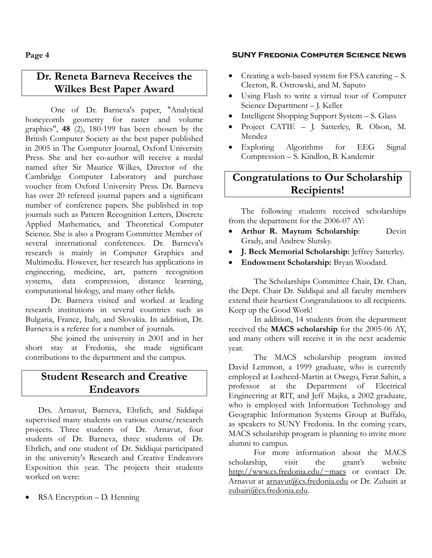# **Dr. Reneta Barneva Receives the Wilkes Best Paper Award**

One of Dr. Barneva's paper, "Analytical honeycomb geometry for raster and volume graphics", **48** (2), 180-199 has been chosen by the British Computer Society as the best paper published in 2005 in The Computer Journal, Oxford University Press. She and her co-author will receive a medal named after Sir Maurice Wilkes, Director of the Cambridge Computer Laboratory and purchase voucher from Oxford University Press. Dr. Barneva has over 20 refereed journal papers and a significant number of conference papers. She published in top journals such as Pattern Recognition Letters, Discrete Applied Mathematics, and Theoretical Computer Science. She is also a Program Committee Member of several international conferences. Dr. Barneva's research is mainly in Computer Graphics and Multimedia. However, her research has applications in engineering, medicine, art, pattern recognition systems, data compression, distance learning, computational biology, and many other fields.

Dr. Barneva visited and worked at leading research institutions in several countries such as Bulgaria, France, Italy, and Slovakia. In addition, Dr. Barneva is a referee for a number of journals.

She joined the university in 2001 and in her short stay at Fredonia, she made significant contributions to the department and the campus.

# **Student Research and Creative Endeavors**

Drs. Arnavut, Barneva, Ehrlich, and Siddiqui supervised many students on various course/research projects. Three students of Dr. Arnavut, four students of Dr. Barneva, three students of Dr. Ehrlich, and one student of Dr. Siddiqui participated in the university's Research and Creative Endeavors Exposition this year. The projects their students worked on were:

RSA Encryption – D. Henning

#### **Page 4 SUNY Fredonia Computer Science News**

- Creating a web-based system for FSA catering S. Cleeton, R. Ostrowski, and M. Saputo
- Using Flash to write a virtual tour of Computer Science Department – J. Keller
- Intelligent Shopping Support System S. Glass
- Project CATIE J. Satterley, R. Olson, M. Mendez
- Exploring Algorithms for EEG Signal Compression – S. Kindlon, B. Kandemir

# **Congratulations to Our Scholarship Recipients!**

The following students received scholarships from the department for the 2006-07 AY:

- **Arthur R. Maytum Scholarship**: Devin Grady, and Andrew Slutsky.
- **J. Beck Memorial Scholarship:** Jeffrey Satterley.
- **Endowment Scholarship:** Bryan Woodard.

The Scholarships Committee Chair, Dr. Chan, the Dept. Chair Dr. Siddiqui and all faculty members extend their heartiest Congratulations to all recipients. Keep up the Good Work!

In addition, 14 students from the department received the **MACS scholarship** for the 2005-06 AY, and many others will receive it in the next academic year.

The MACS scholarship program invited David Lemmon, a 1999 graduate, who is currently employed at Locheed-Martin at Owego, Ferat Sahin, a professor at the Department of Electrical Engineering at RIT, and Jeff Majka, a 2002 graduate, who is employed with Information Technology and Geographic Information Systems Group at Buffalo, as speakers to SUNY Fredonia. In the coming years, MACS scholarship program is planning to invite more alumni to campus.

For more information about the MACS scholarship, visit the grant's website http://www.cs.fredonia.edu/~macs or contact Dr. Arnavut at arnavut@cs.fredonia.edu or Dr. Zubairi at zubairi@cs.fredonia.edu.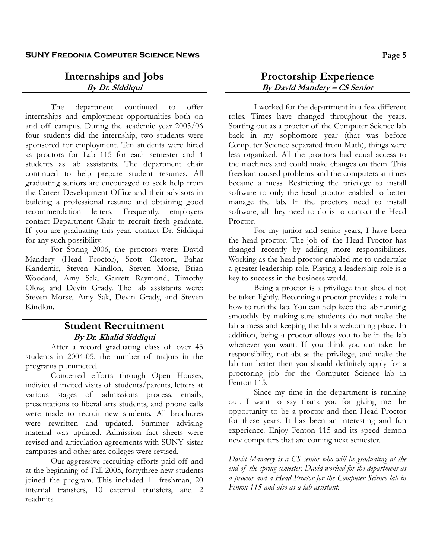#### **SUNY Fredonia Computer Science News Page 5**

# **Internships and Jobs By Dr. Siddiqui**

The department continued to offer internships and employment opportunities both on and off campus. During the academic year 2005/06 four students did the internship, two students were sponsored for employment. Ten students were hired as proctors for Lab 115 for each semester and 4 students as lab assistants. The department chair continued to help prepare student resumes. All graduating seniors are encouraged to seek help from the Career Development Office and their advisors in building a professional resume and obtaining good recommendation letters. Frequently, employers contact Department Chair to recruit fresh graduate. If you are graduating this year, contact Dr. Siddiqui for any such possibility.

For Spring 2006, the proctors were: David Mandery (Head Proctor), Scott Cleeton, Bahar Kandemir, Steven Kindlon, Steven Morse, Brian Woodard, Amy Sak, Garrett Raymond, Timothy Olow, and Devin Grady. The lab assistants were: Steven Morse, Amy Sak, Devin Grady, and Steven Kindlon.

#### **Student Recruitment By Dr. Khalid Siddiqui**

After a record graduating class of over 45 students in 2004-05, the number of majors in the programs plummeted.

Concerted efforts through Open Houses, individual invited visits of students/parents, letters at various stages of admissions process, emails, presentations to liberal arts students, and phone calls were made to recruit new students. All brochures were rewritten and updated. Summer advising material was updated. Admission fact sheets were revised and articulation agreements with SUNY sister campuses and other area colleges were revised.

Our aggressive recruiting efforts paid off and at the beginning of Fall 2005, fortythree new students joined the program. This included 11 freshman, 20 internal transfers, 10 external transfers, and 2 readmits.

#### **Proctorship Experience By David Mandery – CS Senior**

I worked for the department in a few different roles. Times have changed throughout the years. Starting out as a proctor of the Computer Science lab back in my sophomore year (that was before Computer Science separated from Math), things were less organized. All the proctors had equal access to the machines and could make changes on them. This freedom caused problems and the computers at times became a mess. Restricting the privilege to install software to only the head proctor enabled to better manage the lab. If the proctors need to install software, all they need to do is to contact the Head Proctor.

For my junior and senior years, I have been the head proctor. The job of the Head Proctor has changed recently by adding more responsibilities. Working as the head proctor enabled me to undertake a greater leadership role. Playing a leadership role is a key to success in the business world.

Being a proctor is a privilege that should not be taken lightly. Becoming a proctor provides a role in how to run the lab. You can help keep the lab running smoothly by making sure students do not make the lab a mess and keeping the lab a welcoming place. In addition, being a proctor allows you to be in the lab whenever you want. If you think you can take the responsibility, not abuse the privilege, and make the lab run better then you should definitely apply for a proctoring job for the Computer Science lab in Fenton 115.

Since my time in the department is running out, I want to say thank you for giving me the opportunity to be a proctor and then Head Proctor for these years. It has been an interesting and fun experience. Enjoy Fenton 115 and its speed demon new computers that are coming next semester.

*David Mandery is a CS senior who will be graduating at the end of the spring semester. David worked for the department as a proctor and a Head Proctor for the Computer Science lab in Fenton 115 and also as a lab assistant.*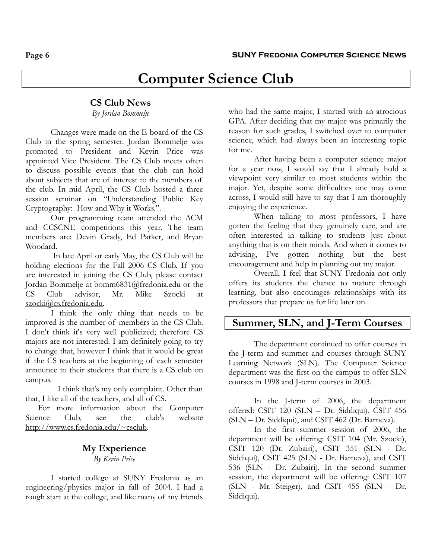# **Computer Science Club**

#### **CS Club News**

*By Jordan Bommelje* 

Changes were made on the E-board of the CS Club in the spring semester. Jordan Bommelje was promoted to President and Kevin Price was appointed Vice President. The CS Club meets often to discuss possible events that the club can hold about subjects that are of interest to the members of the club. In mid April, the CS Club hosted a three session seminar on "Understanding Public Key Cryptography: How and Why it Works.".

Our programming team attended the ACM and CCSCNE competitions this year. The team members are: Devin Grady, Ed Parker, and Bryan Woodard.

 In late April or early May, the CS Club will be holding elections for the Fall 2006 CS Club. If you are interested in joining the CS Club, please contact Jordan Bommelje at bomm6831@fredonia.edu or the CS Club advisor, Mr. Mike Szocki at szocki@cs.fredonia.edu.

I think the only thing that needs to be improved is the number of members in the CS Club. I don't think it's very well publicized; therefore CS majors are not interested. I am definitely going to try to change that, however I think that it would be great if the CS teachers at the beginning of each semester announce to their students that there is a CS club on campus.

I think that's my only complaint. Other than that, I like all of the teachers, and all of CS.

For more information about the Computer Science Club, see the club's website http://www.cs.fredonia.edu/~csclub.

#### **My Experience**  *By Kevin Price*

I started college at SUNY Fredonia as an engineering/physics major in fall of 2004. I had a rough start at the college, and like many of my friends

who had the same major, I started with an atrocious GPA. After deciding that my major was primarily the reason for such grades, I switched over to computer science, which had always been an interesting topic for me.

After having been a computer science major for a year now, I would say that I already hold a viewpoint very similar to most students within the major. Yet, despite some difficulties one may come across, I would still have to say that I am thoroughly enjoying the experience.

When talking to most professors, I have gotten the feeling that they genuinely care, and are often interested in talking to students just about anything that is on their minds. And when it comes to advising, I've gotten nothing but the best encouragement and help in planning out my major.

Overall, I feel that SUNY Fredonia not only offers its students the chance to mature through learning, but also encourages relationships with its professors that prepare us for life later on.

#### **Summer, SLN, and J-Term Courses**

The department continued to offer courses in the J-term and summer and courses through SUNY Learning Network (SLN). The Computer Science department was the first on the campus to offer SLN courses in 1998 and J-term courses in 2003.

In the J-term of 2006, the department offered: CSIT 120 (SLN – Dr. Siddiqui), CSIT 456 (SLN – Dr. Siddiqui), and CSIT 462 (Dr. Barneva).

In the first summer session of 2006, the department will be offering: CSIT 104 (Mr. Szocki), CSIT 120 (Dr. Zubairi), CSIT 351 (SLN - Dr. Siddiqui), CSIT 425 (SLN - Dr. Barneva), and CSIT 536 (SLN - Dr. Zubairi). In the second summer session, the department will be offering: CSIT 107 (SLN - Mr. Steiger), and CSIT 455 (SLN - Dr. Siddiqui).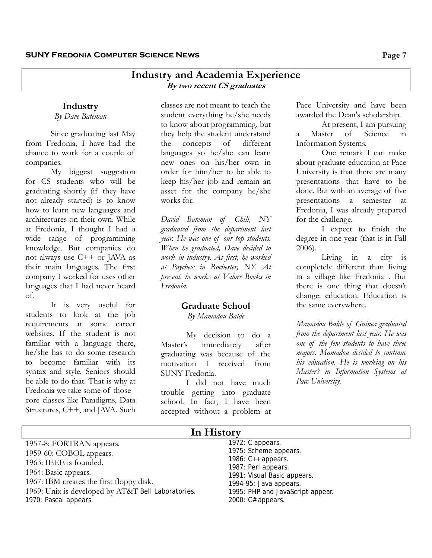#### **Industry and Academia Experience By two recent CS graduates**

#### **Industry**

*By Dave Bateman* 

Since graduating last May from Fredonia, I have had the chance to work for a couple of companies.

My biggest suggestion for CS students who will be graduating shortly (if they have not already started) is to know how to learn new languages and architectures on their own. While at Fredonia, I thought I had a wide range of programming knowledge. But companies do not always use C++ or JAVA as their main languages. The first company I worked for uses other languages that I had never heard of.

It is very useful for students to look at the job requirements at some career websites. If the student is not familiar with a language there, he/she has to do some research to become familiar with its syntax and style. Seniors should be able to do that. That is why at Fredonia we take some of those core classes like Paradigms, Data Structures, C++, and JAVA. Such

classes are not meant to teach the student everything he/she needs to know about programming, but they help the student understand the concepts of different languages so he/she can learn new ones on his/her own in order for him/her to be able to keep his/her job and remain an asset for the company he/she works for.

*David Bateman of Chili, NY graduated from the department last year. He was one of our top students. When he graduated, Dave decided to work in industry. At first, he worked at Paychex in Rochester, NY. At present, he works at Valore Books in Fredonia.* 

#### **Graduate School**

*By Mamadou Balde*

 My decision to do a Master's immediately after graduating was because of the motivation I received from SUNY Fredonia.

I did not have much trouble getting into graduate school. In fact, I have been accepted without a problem at

Pace University and have been awarded the Dean's scholarship.

At present, I am pursuing a Master of Science in Information Systems.

One remark I can make about graduate education at Pace University is that there are many presentations that have to be done. But with an average of five presentations a semester at Fredonia, I was already prepared for the challenge.

I expect to finish the degree in one year (that is in Fall 2006).

Living in a city is completely different than living in a village like Fredonia . But there is one thing that doesn't change: education. Education is the same everywhere.

*Mamadou Balde of Guinea graduated from the department last year. He was one of the few students to have three majors. Mamadou decided to continue his education. He is working on his Master's in Information Systems at Pace University.* 

| In History                                                                                                                                                                                                                       |                                                                                                                                                                                                            |
|----------------------------------------------------------------------------------------------------------------------------------------------------------------------------------------------------------------------------------|------------------------------------------------------------------------------------------------------------------------------------------------------------------------------------------------------------|
| 1957-8: FORTRAN appears.<br>1959-60: COBOL appears.<br>1963: IEEE is founded.<br>1964: Basic appears.<br>1967: IBM creates the first floppy disk.<br>1969: Unix is developed by AT&T Bell Laboratories.<br>1970: Pascal appears. | 1972: C appears.<br>1975: Scheme appears.<br>1986: $C++$ appears.<br>1987: Perl appears.<br>1991: Visual Basic appears.<br>1994-95: Java appears.<br>1995: PHP and JavaScript appear.<br>2000: C# appears. |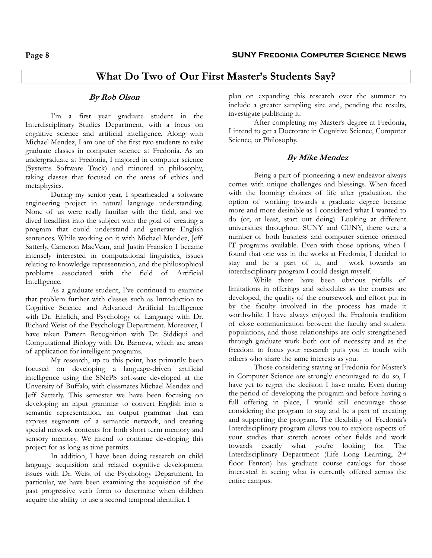# **What Do Two of Our First Master's Students Say?**

#### **By Rob Olson**

I'm a first year graduate student in the Interdisciplinary Studies Department, with a focus on cognitive science and artificial intelligence. Along with Michael Mendez, I am one of the first two students to take graduate classes in computer science at Fredonia. As an undergraduate at Fredonia, I majored in computer science (Systems Software Track) and minored in philosophy, taking classes that focused on the areas of ethics and metaphysics.

During my senior year, I spearheaded a software engineering project in natural language understanding. None of us were really familiar with the field, and we dived headfirst into the subject with the goal of creating a program that could understand and generate English sentences. While working on it with Michael Mendez, Jeff Satterly, Cameron MacVean, and Justin Fransico I became intensely interested in computational linguistics, issues relating to knowledge representation, and the philosophical problems associated with the field of Artificial Intelligence.

As a graduate student, I've continued to examine that problem further with classes such as Introduction to Cognitive Science and Advanced Artificial Intelligence with Dr. Ehrlich, and Psychology of Language with Dr. Richard Weist of the Psychology Department. Moreover, I have taken Pattern Recognition with Dr. Siddiqui and Computational Biology with Dr. Barneva, which are areas of application for intelligent programs.

My research, up to this point, has primarily been focused on developing a language-driven artificial intelligence using the SNePS software developed at the Unversity of Buffalo, with classmates Michael Mendez and Jeff Satterly. This semester we have been focusing on developing an input grammar to convert English into a semantic representation, an output grammar that can express segments of a semantic network, and creating special network contexts for both short term memory and sensory memory. We intend to continue developing this project for as long as time permits.

In addition, I have been doing research on child language acquisition and related cognitive development issues with Dr. Weist of the Psychology Department. In particular, we have been examining the acquisition of the past progressive verb form to determine when children acquire the ability to use a second temporal identifier. I

plan on expanding this research over the summer to include a greater sampling size and, pending the results, investigate publishing it.

 After completing my Master's degree at Fredonia, I intend to get a Doctorate in Cognitive Science, Computer Science, or Philosophy.

#### **By Mike Mendez**

Being a part of pioneering a new endeavor always comes with unique challenges and blessings. When faced with the looming choices of life after graduation, the option of working towards a graduate degree became more and more desirable as I considered what I wanted to do (or, at least, start out doing). Looking at different universities throughout SUNY and CUNY, there were a number of both business and computer science oriented IT programs available. Even with those options, when I found that one was in the works at Fredonia, I decided to stay and be a part of it, and work towards an interdisciplinary program I could design myself.

 While there have been obvious pitfalls of limitations in offerings and schedules as the courses are developed, the quality of the coursework and effort put in by the faculty involved in the process has made it worthwhile. I have always enjoyed the Fredonia tradition of close communication between the faculty and student populations, and those relationships are only strengthened through graduate work both out of necessity and as the freedom to focus your research puts you in touch with others who share the same interests as you.

 Those considering staying at Fredonia for Master's in Computer Science are strongly encouraged to do so, I have yet to regret the decision I have made. Even during the period of developing the program and before having a full offering in place, I would still encourage those considering the program to stay and be a part of creating and supporting the program. The flexibility of Fredonia's Interdisciplinary program allows you to explore aspects of your studies that stretch across other fields and work towards exactly what you're looking for. The Interdisciplinary Department (Life Long Learning, 2nd floor Fenton) has graduate course catalogs for those interested in seeing what is currently offered across the entire campus.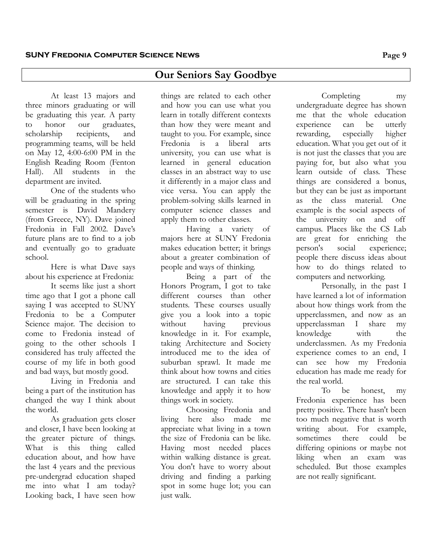# **Our Seniors Say Goodbye**

At least 13 majors and three minors graduating or will be graduating this year. A party to honor our graduates, scholarship recipients, and programming teams, will be held on May 12, 4:00-6:00 PM in the English Reading Room (Fenton Hall). All students in the department are invited.

One of the students who will be graduating in the spring semester is David Mandery (from Greece, NY). Dave joined Fredonia in Fall 2002. Dave's future plans are to find to a job and eventually go to graduate school.

Here is what Dave says about his experience at Fredonia:

It seems like just a short time ago that I got a phone call saying I was accepted to SUNY Fredonia to be a Computer Science major. The decision to come to Fredonia instead of going to the other schools I considered has truly affected the course of my life in both good and bad ways, but mostly good.

Living in Fredonia and being a part of the institution has changed the way I think about the world.

As graduation gets closer and closer, I have been looking at the greater picture of things. What is this thing called education about, and how have the last 4 years and the previous pre-undergrad education shaped me into what I am today? Looking back, I have seen how

things are related to each other and how you can use what you learn in totally different contexts than how they were meant and taught to you. For example, since Fredonia is a liberal arts university, you can use what is learned in general education classes in an abstract way to use it differently in a major class and vice versa. You can apply the problem-solving skills learned in computer science classes and apply them to other classes.

Having a variety of majors here at SUNY Fredonia makes education better; it brings about a greater combination of people and ways of thinking.

Being a part of the Honors Program, I got to take different courses than other students. These courses usually give you a look into a topic without having previous knowledge in it. For example, taking Architecture and Society introduced me to the idea of suburban sprawl. It made me think about how towns and cities are structured. I can take this knowledge and apply it to how things work in society.

Choosing Fredonia and living here also made me appreciate what living in a town the size of Fredonia can be like. Having most needed places within walking distance is great. You don't have to worry about driving and finding a parking spot in some huge lot; you can just walk.

Completing my undergraduate degree has shown me that the whole education experience can be utterly rewarding, especially higher education. What you get out of it is not just the classes that you are paying for, but also what you learn outside of class. These things are considered a bonus, but they can be just as important as the class material. One example is the social aspects of the university on and off campus. Places like the CS Lab are great for enriching the person's social experience; people there discuss ideas about how to do things related to computers and networking.

Personally, in the past I have learned a lot of information about how things work from the upperclassmen, and now as an upperclassman I share my knowledge with the underclassmen. As my Fredonia experience comes to an end, I can see how my Fredonia education has made me ready for the real world.

To be honest, my Fredonia experience has been pretty positive. There hasn't been too much negative that is worth writing about. For example, sometimes there could be differing opinions or maybe not liking when an exam was scheduled. But those examples are not really significant.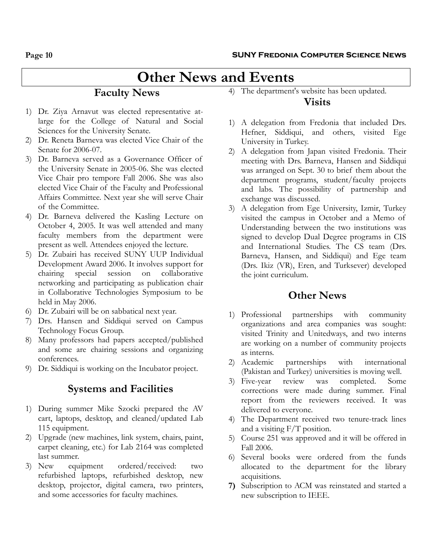# **Other News and Events**

# **Faculty News**

- 1) Dr. Ziya Arnavut was elected representative atlarge for the College of Natural and Social Sciences for the University Senate.
- 2) Dr. Reneta Barneva was elected Vice Chair of the Senate for 2006-07.
- 3) Dr. Barneva served as a Governance Officer of the University Senate in 2005-06. She was elected Vice Chair pro tempore Fall 2006. She was also elected Vice Chair of the Faculty and Professional Affairs Committee. Next year she will serve Chair of the Committee.
- 4) Dr. Barneva delivered the Kasling Lecture on October 4, 2005. It was well attended and many faculty members from the department were present as well. Attendees enjoyed the lecture.
- 5) Dr. Zubairi has received SUNY UUP Individual Development Award 2006. It involves support for chairing special session on collaborative networking and participating as publication chair in Collaborative Technologies Symposium to be held in May 2006.
- 6) Dr. Zubairi will be on sabbatical next year.
- 7) Drs. Hansen and Siddiqui served on Campus Technology Focus Group.
- 8) Many professors had papers accepted/published and some are chairing sessions and organizing conferences.
- 9) Dr. Siddiqui is working on the Incubator project.

# **Systems and Facilities**

- 1) During summer Mike Szocki prepared the AV cart, laptops, desktop, and cleaned/updated Lab 115 equipment.
- 2) Upgrade (new machines, link system, chairs, paint, carpet cleaning, etc.) for Lab 2164 was completed last summer.
- 3) New equipment ordered/received: two refurbished laptops, refurbished desktop, new desktop, projector, digital camera, two printers, and some accessories for faculty machines.

4) The department's website has been updated.

# **Visits**

- 1) A delegation from Fredonia that included Drs. Hefner, Siddiqui, and others, visited Ege University in Turkey.
- 2) A delegation from Japan visited Fredonia. Their meeting with Drs. Barneva, Hansen and Siddiqui was arranged on Sept. 30 to brief them about the department programs, student/faculty projects and labs. The possibility of partnership and exchange was discussed.
- 3) A delegation from Ege University, Izmir, Turkey visited the campus in October and a Memo of Understanding between the two institutions was signed to develop Dual Degree programs in CIS and International Studies. The CS team (Drs. Barneva, Hansen, and Siddiqui) and Ege team (Drs. Ikiz (VR), Eren, and Turksever) developed the joint curriculum.

# **Other News**

- 1) Professional partnerships with community organizations and area companies was sought: visited Trinity and Unitedways, and two interns are working on a number of community projects as interns.
- 2) Academic partnerships with international (Pakistan and Turkey) universities is moving well.
- 3) Five-year review was completed. Some corrections were made during summer. Final report from the reviewers received. It was delivered to everyone.
- 4) The Department received two tenure-track lines and a visiting F/T position.
- 5) Course 251 was approved and it will be offered in Fall 2006.
- 6) Several books were ordered from the funds allocated to the department for the library acquisitions.
- **7)** Subscription to ACM was reinstated and started a new subscription to IEEE.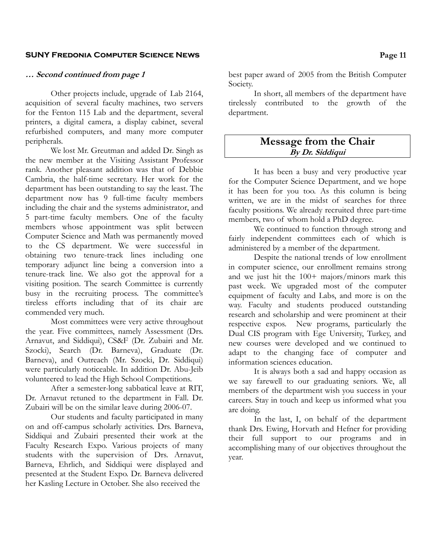#### **SUNY Fredonia Computer Science News Page 11**

#### **… Second continued from page 1**

Other projects include, upgrade of Lab 2164, acquisition of several faculty machines, two servers for the Fenton 115 Lab and the department, several printers, a digital camera, a display cabinet, several refurbished computers, and many more computer peripherals.

We lost Mr. Greutman and added Dr. Singh as the new member at the Visiting Assistant Professor rank. Another pleasant addition was that of Debbie Cambria, the half-time secretary. Her work for the department has been outstanding to say the least. The department now has 9 full-time faculty members including the chair and the systems administrator, and 5 part-time faculty members. One of the faculty members whose appointment was split between Computer Science and Math was permanently moved to the CS department. We were successful in obtaining two tenure-track lines including one temporary adjunct line being a conversion into a tenure-track line. We also got the approval for a visiting position. The search Committee is currently busy in the recruiting process. The committee's tireless efforts including that of its chair are commended very much.

Most committees were very active throughout the year. Five committees, namely Assessment (Drs. Arnavut, and Siddiqui), CS&F (Dr. Zubairi and Mr. Szocki), Search (Dr. Barneva), Graduate (Dr. Barneva), and Outreach (Mr. Szocki, Dr. Siddiqui) were particularly noticeable. In addition Dr. Abu-Jeib volunteered to lead the High School Competitions.

After a semester-long sabbatical leave at RIT, Dr. Arnavut retuned to the department in Fall. Dr. Zubairi will be on the similar leave during 2006-07.

Our students and faculty participated in many on and off-campus scholarly activities. Drs. Barneva, Siddiqui and Zubairi presented their work at the Faculty Research Expo. Various projects of many students with the supervision of Drs. Arnavut, Barneva, Ehrlich, and Siddiqui were displayed and presented at the Student Expo. Dr. Barneva delivered her Kasling Lecture in October. She also received the

best paper award of 2005 from the British Computer Society.

In short, all members of the department have tirelessly contributed to the growth of the department.

# **Message from the Chair By Dr. Siddiqui**

It has been a busy and very productive year for the Computer Science Department, and we hope it has been for you too. As this column is being written, we are in the midst of searches for three faculty positions. We already recruited three part-time members, two of whom hold a PhD degree.

We continued to function through strong and fairly independent committees each of which is administered by a member of the department.

Despite the national trends of low enrollment in computer science, our enrollment remains strong and we just hit the 100+ majors/minors mark this past week. We upgraded most of the computer equipment of faculty and Labs, and more is on the way. Faculty and students produced outstanding research and scholarship and were prominent at their respective expos. New programs, particularly the Dual CIS program with Ege University, Turkey, and new courses were developed and we continued to adapt to the changing face of computer and information sciences education.

 It is always both a sad and happy occasion as we say farewell to our graduating seniors. We, all members of the department wish you success in your careers. Stay in touch and keep us informed what you are doing.

In the last, I, on behalf of the department thank Drs. Ewing, Horvath and Hefner for providing their full support to our programs and in accomplishing many of our objectives throughout the year.